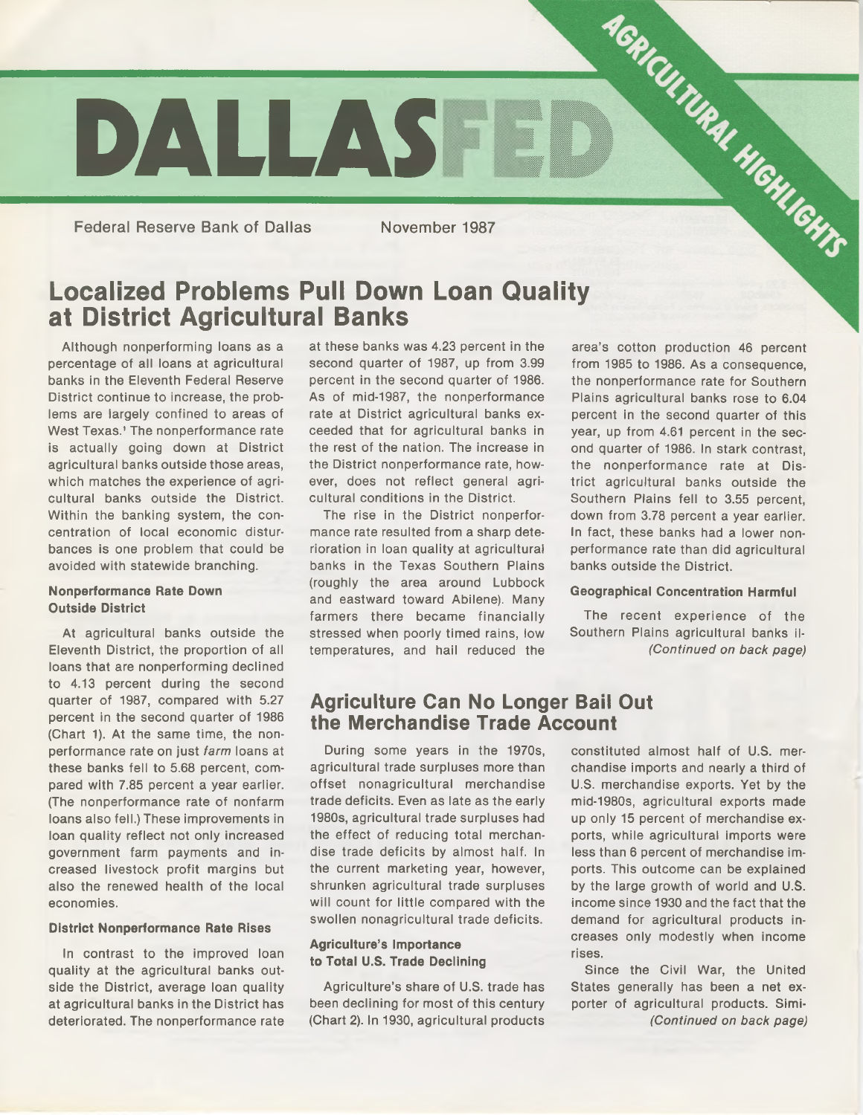

Federal Reserve Bank of Dallas November 1987

# **Localized Problems Pull Down Loan Quality at District Agricultural Banks**

Although nonperforming loans as a percentage of all loans at agricultural banks in the Eleventh Federal Reserve District continue to increase, the problems are largely confined to areas of West Texas.' The nonperformance rate is actually going down at District agricultural banks outside those areas, which matches the experience of agricultural banks outside the District. Within the banking system, the concentration of local economic disturbances is one problem that could be avoided with statewide branching.

#### **Nonperformance Rate Down Outside District**

At agricultural banks outside the Eleventh District, the proportion of all loans that are nonperforming declined to 4.13 percent during the second quarter of 1987, compared with 5.27 percent in the second quarter of 1986 (Chart 1). At the same time, the nonperformance rate on just *farm* loans at these banks fell to 5.68 percent, compared with 7.85 percent a year earlier. (The nonperformance rate of nonfarm loans also fell.) These improvements in loan quality reflect not only increased government farm payments and increased livestock profit margins but also the renewed health of the local economies.

#### **District Nonperformance Rate Rises**

In contrast to the improved loan quality at the agricultural banks outside the District, average loan quality at agricultural banks in the District has deteriorated. The nonperformance rate

at these banks was 4.23 percent in the second quarter of 1987, up from 3.99 percent in the second quarter of 1986. As of mid-1987, the nonperformance rate at District agricultural banks exceeded that for agricultural banks in the rest of the nation. The increase in the District nonperformance rate, however, does not reflect general agricultural conditions in the District.

The rise in the District nonperformance rate resulted from a sharp deterioration in loan quality at agricultural banks in the Texas Southern Plains (roughly the area around Lubbock and eastward toward Abilene). Many farmers there became financially stressed when poorly timed rains, low temperatures, and hail reduced the

area's cotton production 46 percent from 1985 to 1986. As a consequence, the nonperformance rate for Southern Plains agricultural banks rose to 6.04 percent in the second quarter of this year, up from 4.61 percent in the second quarter of 1986. In stark contrast, the nonperformance rate at District agricultural banks outside the Southern Plains fell to 3.55 percent, down from 3.78 percent a year earlier. In fact, these banks had a lower nonperformance rate than did agricultural banks outside the District.

#### **Geographical Concentration Harmful**

The recent experience of the Southern Plains agricultural banks II- *(Continued on back page)*

## **Agriculture Can No Longer Bail Out the Merchandise Trade Account**

During some years in the 1970s, agricultural trade surpluses more than offset nonagricultural merchandise trade deficits. Even as late as the early 1980s, agricultural trade surpluses had the effect of reducing total merchandise trade deficits by almost half. In the current marketing year, however, shrunken agricultural trade surpluses will count for little compared with the swollen nonagricultural trade deficits.

## **Agriculture's Importance to Total U.S. Trade Declining**

Agriculture's share of U.S. trade has been declining for most of this century (Chart 2). In 1930, agricultural products

constituted almost half of U.S. merchandise imports and nearly a third of U.S. merchandise exports. Yet by the mid-1980s, agricultural exports made up only 15 percent of merchandise exports, while agricultural imports were less than 6 percent of merchandise imports. This outcome can be explained by the large growth of world and U.S. income since 1930 and the fact that the demand for agricultural products increases only modestly when income rises.

Since the Civil War, the United States generally has been a net exporter of agricultural products. Simi- *(Continued on back page)*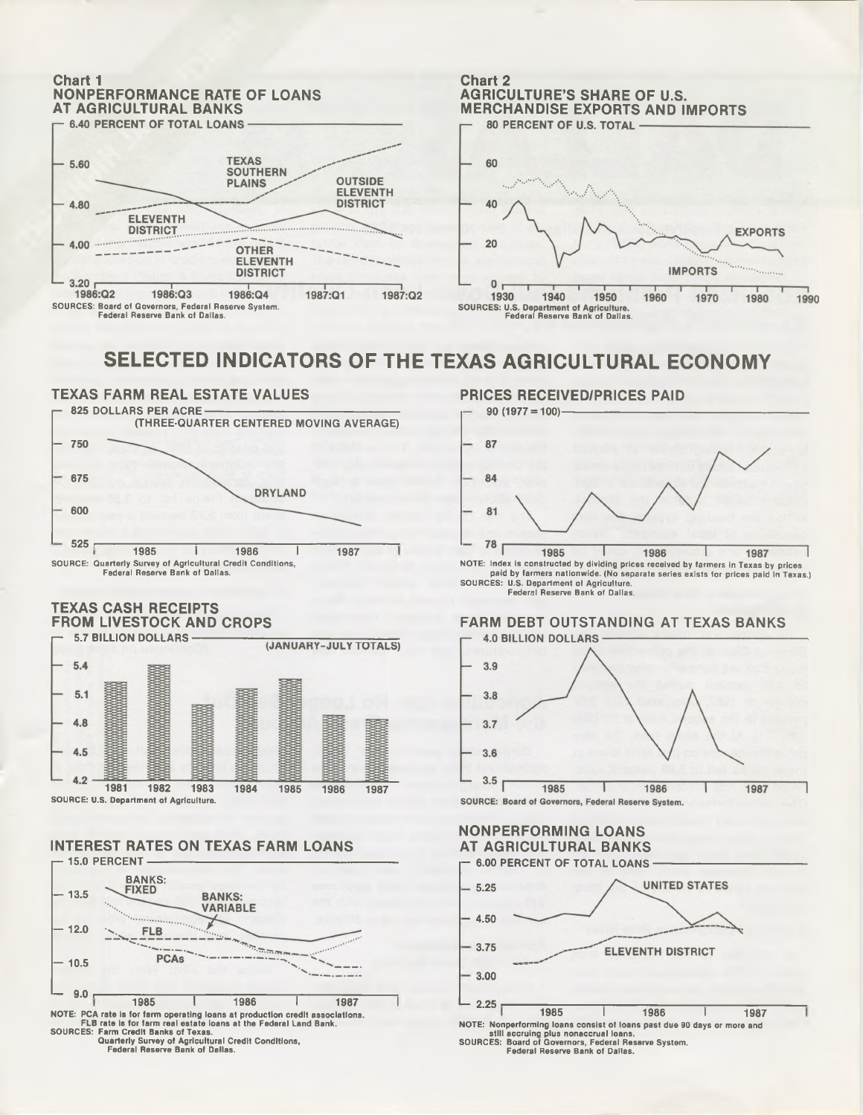

**SOURCES: Board of Governors, Federal Reserve System.**

**Chart 2 AGRICULTURE'S SHARE OF U.S. MERCHANDISE EXPORTS AND IMPORTS** 60 40

**EXPORTS** 20 **IMPORTS**  $\Omega$ 1930 1940 1950 1960 1970 1980 1990 **Federal Reserve Bank of Dallas. Federal Reserve Bank of Dallas.**

# **SELECTED INDICATORS OF THE TEXAS AGRICULTURAL ECONOMY**



## **TEXAS CASH RECEIPTS FROM LIVESTOCK AND CROPS**



### **INTEREST RATES ON TEXAS FARM LOANS**



## **PRICES RECEIVED/PRICES PAID**



**SOURCES: U.S. Department of Agriculture. Federal Reserve Bank of Dallas.**

# **FARM DEBT OUTSTANDING AT TEXAS BANKS**



## **NONPERFORMING LOANS**



**Federal Reserve Bank of Dallas.**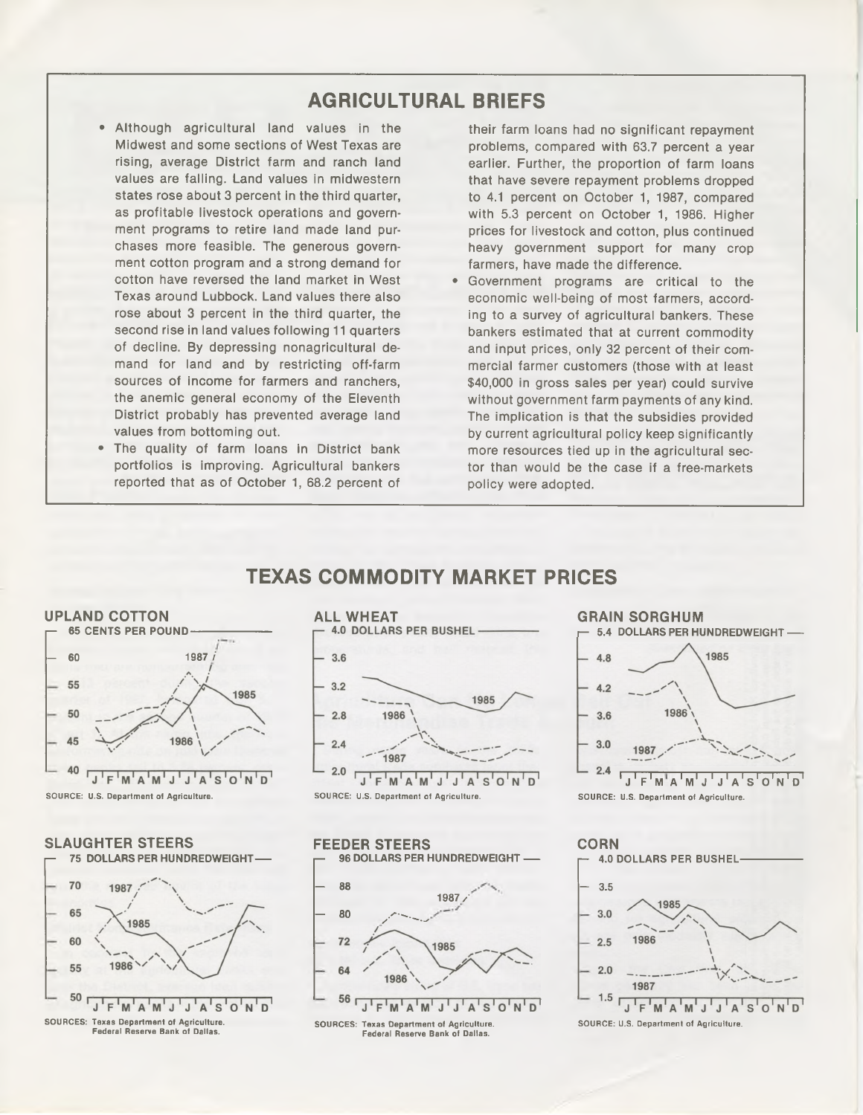# **AGRICULTURAL BRIEFS**

- Although agricultural land values in the Midwest and some sections of West Texas are rising, average District farm and ranch land values are falling. Land values in midwestern states rose about 3 percent in the third quarter, as profitable livestock operations and government programs to retire land made land purchases more feasible. The generous government cotton program and a strong demand for cotton have reversed the land market in West Texas around Lubbock. Land values there also rose about 3 percent in the third quarter, the second rise in land values following 11 quarters of decline. By depressing nonagricultural demand for land and by restricting off-farm sources of income for farmers and ranchers, the anemic general economy of the Eleventh District probably has prevented average land values from bottoming out.
- The quality of farm loans in District bank portfolios is improving. Agricultural bankers reported that as of October 1, 68.2 percent of

their farm loans had no significant repayment problems, compared with 63.7 percent a year earlier. Further, the proportion of farm loans that have severe repayment problems dropped to 4.1 percent on October 1, 1987, compared with 5.3 percent on October 1, 1986. Higher prices for livestock and cotton, plus continued heavy government support for many crop farmers, have made the difference.

Government programs are critical to the economic well-being of most farmers, according to a survey of agricultural bankers. These bankers estimated that at current commodity and input prices, only 32 percent of their commercial farmer customers (those with at least \$40,000 in gross sales per year) could survive without government farm payments of any kind. The implication is that the subsidies provided by current agricultural policy keep significantly more resources tied up in the agricultural sector than would be the case if a free-markets policy were adopted.

## **TEXAS COMMODITY MARKET PRICES**













**CORN 4.0 DOLLARS PER BUSHEL - 3.5** 1985  $3.0$ 1986  $25$  $2.0$ 1987  $1.5$  $\begin{bmatrix} 1 & F & M & A & M & J & J & A & S & O & N & D \end{bmatrix}$ 

**SOURCE: U.S. Department of Agriculture.**